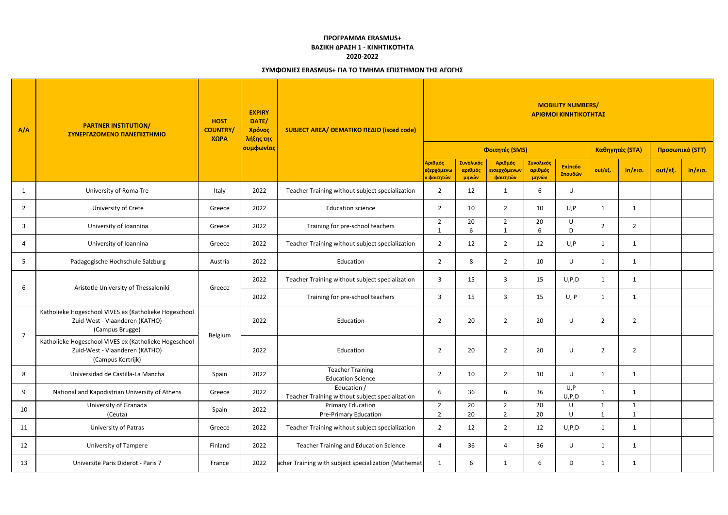| A/A            | <b>PARTNER INSTITUTION/</b><br>ΣΥΝΕΡΓΑΖΟΜΕΝΟ ΠΑΝΕΠΙΣΤΗΜΙΟ                                                    | <b>HOST</b><br><b>COUNTRY/</b><br>$X\Omega PA$ | <b>EXPIRY</b><br>DATE/<br>Χρόνος<br>λήξης της | SUBJECT AREA/ ΘΕΜΑΤΙΚΟ ΠΕΔΙΟ (isced code)                      | <b>MOBILITY NUMBERS/</b><br>ΑΡΙΘΜΟΙ ΚΙΝΗΤΙΚΟΤΗΤΑΣ             |                               |                                                  |                               |                    |                 |                |                 |         |  |
|----------------|--------------------------------------------------------------------------------------------------------------|------------------------------------------------|-----------------------------------------------|----------------------------------------------------------------|---------------------------------------------------------------|-------------------------------|--------------------------------------------------|-------------------------------|--------------------|-----------------|----------------|-----------------|---------|--|
|                |                                                                                                              |                                                | συμφωνίας                                     |                                                                |                                                               |                               | Φοιτητές (SMS)                                   |                               |                    | Καθηγητές (STA) |                | Προσωπικό (STT) |         |  |
|                |                                                                                                              |                                                |                                               |                                                                | Αριθμός<br><mark>εξερχόμενω</mark><br><mark>ν φοιτητών</mark> | Συνολικός<br>αριθμός<br>μηνών | Αριθμός<br><mark>εισερχόμενων</mark><br>φοιτητών | Συνολικός<br>αριθμός<br>μηνών | Επίπεδο<br>Σπουδών | out/εξ.         | in/εισ.        | out/εξ.         | in/εισ. |  |
| 1              | University of Roma Tre                                                                                       | Italy                                          | 2022                                          | Teacher Training without subject specialization                | $\overline{2}$                                                | 12                            | -1                                               | 6                             | U                  |                 |                |                 |         |  |
| 2              | University of Crete                                                                                          | Greece                                         | 2022                                          | <b>Education science</b>                                       | $\overline{2}$                                                | 10                            | $\overline{2}$                                   | 10                            | U,P                | 1               | 1              |                 |         |  |
| 3              | University of Ioannina                                                                                       | Greece                                         | 2022                                          | Training for pre-school teachers                               | $\overline{2}$                                                | 20<br>6                       | $\overline{2}$                                   | 20<br>6                       | U<br>D             | $\overline{2}$  | $\overline{2}$ |                 |         |  |
| 4              | University of Ioannina                                                                                       | Greece                                         | 2022                                          | Teacher Training without subject specialization                | $\overline{2}$                                                | 12                            | $\overline{2}$                                   | 12                            | U, P               | $\mathbf{1}$    | -1             |                 |         |  |
| -5             | Padagogische Hochschule Salzburg                                                                             | Austria                                        | 2022                                          | Education                                                      | $\overline{2}$                                                | 8                             | $\overline{2}$                                   | 10                            | U                  | 1               | -1             |                 |         |  |
|                | Aristotle University of Thessaloniki                                                                         | Greece                                         | 2022                                          | Teacher Training without subject specialization                | $\overline{\mathbf{3}}$                                       | 15                            | $\overline{3}$                                   | 15                            | U, P, D            | $\mathbf{1}$    | $\mathbf{1}$   |                 |         |  |
| 6              |                                                                                                              |                                                | 2022                                          | Training for pre-school teachers                               | 3                                                             | 15                            | 3                                                | 15                            | U, P               | $\mathbf{1}$    | 1              |                 |         |  |
| $\overline{7}$ | Katholieke Hogeschool VIVES ex (Katholieke Hogeschool<br>Zuid-West - Vlaanderen (KATHO)<br>(Campus Brugge)   |                                                | 2022                                          | Education                                                      | -2                                                            | 20                            | $\overline{2}$                                   | 20                            | U                  | 2               | $\overline{2}$ |                 |         |  |
|                | Katholieke Hogeschool VIVES ex (Katholieke Hogeschool<br>Zuid-West - Vlaanderen (KATHO)<br>(Campus Kortrijk) | Belgium                                        | 2022                                          | Education                                                      | $\overline{2}$                                                | 20                            | $\overline{2}$                                   | 20                            | U                  | $\overline{2}$  | $\overline{2}$ |                 |         |  |
| 8              | Universidad de Castilla-La Mancha                                                                            | Spain                                          | 2022                                          | <b>Teacher Training</b><br><b>Education Science</b>            | $\overline{2}$                                                | 10                            | $\overline{2}$                                   | 10                            | $\cup$             | $\mathbf{1}$    | $\mathbf{1}$   |                 |         |  |
| 9              | National and Kapodistrian University of Athens                                                               | Greece                                         | 2022                                          | Education /<br>Teacher Training without subject specialization | 6                                                             | 36                            | 6                                                | 36                            | U, P<br>U, P, D    | $\mathbf{1}$    | 1              |                 |         |  |
| 10             | University of Granada<br>(Ceuta)                                                                             | Spain                                          | 2022                                          | Primary Education<br>Pre-Primary Education                     | $\overline{2}$<br>$\overline{2}$                              | 20<br>20                      | $\overline{2}$<br>$\overline{2}$                 | 20<br>20                      | U<br>U             | 1<br>1          | -1<br>-1       |                 |         |  |
| 11             | University of Patras                                                                                         | Greece                                         | 2022                                          | Teacher Training without subject specialization                | $\overline{2}$                                                | 12                            | $\overline{2}$                                   | 12                            | U, P, D            | $\mathbf{1}$    | 1              |                 |         |  |
| 12             | <b>University of Tampere</b>                                                                                 | Finland                                        | 2022                                          | <b>Teacher Training and Education Science</b>                  | $\overline{4}$                                                | 36                            | $\overline{4}$                                   | 36                            | $\sf U$            | $\mathbf{1}$    | $\mathbf{1}$   |                 |         |  |
| 13             | Universite Paris Diderot - Paris 7                                                                           | France                                         | 2022                                          | acher Training with subject specialization (Mathemati          | $\mathbf{1}$                                                  | 6                             | -1                                               | 6                             | D                  | $\mathbf{1}$    | $\mathbf{1}$   |                 |         |  |

## **ΣΥΜΦΩΝΙΕΣ ERASMUS+ ΓΙΑ ΤΟ ΤΜΗΜΑ ΕΠΙΣΤΗΜΩΝ ΤΗΣ ΑΓΩΓΗΣ**

## **ΠΡΟΓΡΑΜΜΑ ERASMUS+ ΒΑΣΙΚΗ ΔΡΑΣΗ 1 - ΚΙΝΗΤΙΚΟΤΗΤΑ 2020-2022**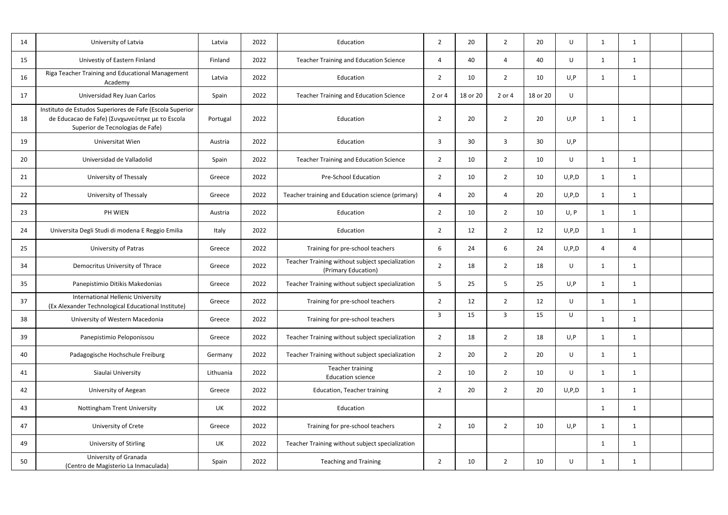| 14 | University of Latvia                                                                                                                            | Latvia    | 2022 | Education                                                              | $\overline{2}$ | 20       | $\overline{2}$ | 20       | U       |   |              |  |
|----|-------------------------------------------------------------------------------------------------------------------------------------------------|-----------|------|------------------------------------------------------------------------|----------------|----------|----------------|----------|---------|---|--------------|--|
| 15 | Univestiy of Eastern Finland                                                                                                                    | Finland   | 2022 | <b>Teacher Training and Education Science</b>                          | 4              | 40       | 4              | 40       | U       |   | -1           |  |
| 16 | Riga Teacher Training and Educational Management<br>Academy                                                                                     | Latvia    | 2022 | Education                                                              | 2              | 10       | $\overline{2}$ | 10       | U, P    |   |              |  |
| 17 | Universidad Rey Juan Carlos                                                                                                                     | Spain     | 2022 | <b>Teacher Training and Education Science</b>                          | 2 or 4         | 18 or 20 | 2 or 4         | 18 or 20 | U       |   |              |  |
| 18 | Instituto de Estudos Superiores de Fafe (Escola Superior<br>de Educacao de Fafe) (Συνχωνεύτηκε με το Escola<br>Superior de Tecnologias de Fafe) | Portugal  | 2022 | Education                                                              | $\overline{2}$ | 20       | $\overline{2}$ | 20       | U, P    |   |              |  |
| 19 | Universitat Wien                                                                                                                                | Austria   | 2022 | Education                                                              | $\overline{3}$ | 30       | 3              | 30       | U, P    |   |              |  |
| 20 | Universidad de Valladolid                                                                                                                       | Spain     | 2022 | <b>Teacher Training and Education Science</b>                          | $\overline{2}$ | 10       | $\overline{2}$ | 10       | U       |   |              |  |
| 21 | University of Thessaly                                                                                                                          | Greece    | 2022 | <b>Pre-School Education</b>                                            | $\overline{2}$ | 10       | $\overline{2}$ | 10       | U, P, D |   | 1            |  |
| 22 | University of Thessaly                                                                                                                          | Greece    | 2022 | Teacher training and Education science (primary)                       | 4              | 20       | 4              | 20       | U, P, D |   |              |  |
| 23 | PH WIEN                                                                                                                                         | Austria   | 2022 | Education                                                              | $\overline{2}$ | 10       | $\overline{2}$ | 10       | U, P    |   |              |  |
| 24 | Universita Degli Studi di modena E Reggio Emilia                                                                                                | Italy     | 2022 | Education                                                              | $\overline{2}$ | 12       | $\overline{2}$ | 12       | U, P, D |   | -1           |  |
| 25 | University of Patras                                                                                                                            | Greece    | 2022 | Training for pre-school teachers                                       | 6              | 24       | 6              | 24       | U, P, D |   | Δ            |  |
| 34 | Democritus University of Thrace                                                                                                                 | Greece    | 2022 | Teacher Training without subject specialization<br>(Primary Education) | $\overline{2}$ | 18       | $\overline{2}$ | 18       | U       |   |              |  |
| 35 | Panepistimio Ditikis Makedonias                                                                                                                 | Greece    | 2022 | Teacher Training without subject specialization                        | 5              | 25       | 5              | 25       | U, P    |   | -1           |  |
| 37 | <b>International Hellenic University</b><br>(Ex Alexander Technological Educational Institute)                                                  | Greece    | 2022 | Training for pre-school teachers                                       | $\overline{2}$ | 12       | $\overline{2}$ | 12       | U       |   |              |  |
| 38 | University of Western Macedonia                                                                                                                 | Greece    | 2022 | Training for pre-school teachers                                       | $\overline{3}$ | 15       | $\mathbf{3}$   | 15       | U       |   |              |  |
| 39 | Panepistimio Peloponissou                                                                                                                       | Greece    | 2022 | Teacher Training without subject specialization                        | $\overline{2}$ | 18       | $\overline{2}$ | 18       | U, P    | 1 | 1            |  |
| 40 | Padagogische Hochschule Freiburg                                                                                                                | Germany   | 2022 | Teacher Training without subject specialization                        | $\overline{2}$ | 20       | $\overline{2}$ | 20       | U       |   | -1           |  |
| 41 | Siaulai University                                                                                                                              | Lithuania | 2022 | Teacher training<br><b>Education science</b>                           | $\overline{2}$ | 10       | $\overline{2}$ | 10       | U       |   | -1           |  |
| 42 | University of Aegean                                                                                                                            | Greece    | 2022 | <b>Education, Teacher training</b>                                     | $\overline{2}$ | 20       | $\overline{2}$ | 20       | U, P, D |   | 1            |  |
| 43 | <b>Nottingham Trent University</b>                                                                                                              | UK        | 2022 | Education                                                              |                |          |                |          |         |   | $\mathbf 1$  |  |
| 47 | University of Crete                                                                                                                             | Greece    | 2022 | Training for pre-school teachers                                       | $\overline{2}$ | 10       | $\overline{2}$ | 10       | U, P    |   |              |  |
| 49 | University of Stirling                                                                                                                          | UK        | 2022 | Teacher Training without subject specialization                        |                |          |                |          |         | 1 | -1           |  |
| 50 | University of Granada<br>(Centro de Magisterio La Inmaculada)                                                                                   | Spain     | 2022 | <b>Teaching and Training</b>                                           | $\overline{2}$ | 10       | $\overline{2}$ | $10\,$   | U       |   | $\mathbf{1}$ |  |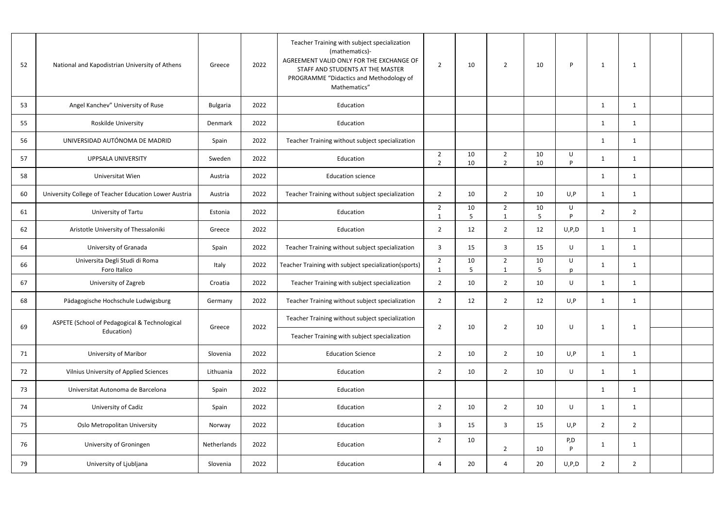| 52 | National and Kapodistrian University of Athens        | Greece      | 2022 | Teacher Training with subject specialization<br>(mathematics)-<br>AGREEMENT VALID ONLY FOR THE EXCHANGE OF<br>STAFF AND STUDENTS AT THE MASTER<br>PROGRAMME "Didactics and Methodology of<br>Mathematics" | $\overline{2}$                  | 10              | $\overline{2}$                   | 10       | P         | 1              | -1             |  |
|----|-------------------------------------------------------|-------------|------|-----------------------------------------------------------------------------------------------------------------------------------------------------------------------------------------------------------|---------------------------------|-----------------|----------------------------------|----------|-----------|----------------|----------------|--|
| 53 | Angel Kanchev" University of Ruse                     | Bulgaria    | 2022 | Education                                                                                                                                                                                                 |                                 |                 |                                  |          |           | 1              | 1              |  |
| 55 | Roskilde University                                   | Denmark     | 2022 | Education                                                                                                                                                                                                 |                                 |                 |                                  |          |           | 1              |                |  |
| 56 | UNIVERSIDAD AUTÓNOMA DE MADRID                        | Spain       | 2022 | Teacher Training without subject specialization                                                                                                                                                           |                                 |                 |                                  |          |           | 1              |                |  |
| 57 | <b>UPPSALA UNIVERSITY</b>                             | Sweden      | 2022 | Education                                                                                                                                                                                                 | $\overline{2}$<br>$\mathcal{P}$ | 10<br>10        | $\overline{2}$<br>$\overline{2}$ | 10<br>10 | U<br>D    |                |                |  |
| 58 | Universitat Wien                                      | Austria     | 2022 | <b>Education science</b>                                                                                                                                                                                  |                                 |                 |                                  |          |           | $\mathbf{1}$   | -1             |  |
| 60 | University College of Teacher Education Lower Austria | Austria     | 2022 | Teacher Training without subject specialization                                                                                                                                                           | $\overline{2}$                  | 10              | $\overline{2}$                   | 10       | U, P      | 1              |                |  |
| 61 | University of Tartu                                   | Estonia     | 2022 | Education                                                                                                                                                                                                 | $\overline{2}$<br>-1            | 10<br>5         | $\overline{2}$<br>1              | 10<br>5  | U<br>D    | $\overline{2}$ | $\overline{2}$ |  |
| 62 | Aristotle University of Thessaloniki                  | Greece      | 2022 | Education                                                                                                                                                                                                 | $\overline{2}$                  | 12              | $\overline{2}$                   | 12       | U, P, D   | 1              | -1             |  |
| 64 | University of Granada                                 | Spain       | 2022 | Teacher Training without subject specialization                                                                                                                                                           | 3                               | 15              | $\overline{3}$                   | 15       | U         |                |                |  |
| 66 | Universita Degli Studi di Roma<br>Foro Italico        | Italy       | 2022 | Teacher Training with subject specialization(sports)                                                                                                                                                      | $\overline{2}$                  | 10              | $\overline{2}$                   | 10<br>5  | U         | 1              |                |  |
| 67 | University of Zagreb                                  | Croatia     | 2022 | Teacher Training with subject specialization                                                                                                                                                              | $\overline{2}$                  | 10              | $\overline{2}$                   | 10       | U         | 1              | 1              |  |
| 68 | Pädagogische Hochschule Ludwigsburg                   | Germany     | 2022 | Teacher Training without subject specialization                                                                                                                                                           | $\overline{2}$                  | 12              | $\overline{2}$                   | 12       | U, P      |                |                |  |
| 69 | ASPETE (School of Pedagogical & Technological         | Greece      | 2022 | Teacher Training without subject specialization                                                                                                                                                           | $\overline{2}$                  | 10              | $\overline{2}$                   | 10       | U         | $\mathbf{1}$   | 1              |  |
|    | Education)                                            |             |      | Teacher Training with subject specialization                                                                                                                                                              |                                 |                 |                                  |          |           |                |                |  |
| 71 | <b>University of Maribor</b>                          | Slovenia    | 2022 | <b>Education Science</b>                                                                                                                                                                                  | $\overline{2}$                  | 10              | $\overline{2}$                   | 10       | U, P      | $\mathbf{1}$   | -1             |  |
| 72 | Vilnius University of Applied Sciences                | Lithuania   | 2022 | Education                                                                                                                                                                                                 | $\overline{2}$                  | 10              | $\overline{2}$                   | 10       | $\sf U$   | $\mathbf{1}$   | 1              |  |
| 73 | Universitat Autonoma de Barcelona                     | Spain       | 2022 | Education                                                                                                                                                                                                 |                                 |                 |                                  |          |           | $\mathbf{1}$   | 1              |  |
| 74 | University of Cadiz                                   | Spain       | 2022 | Education                                                                                                                                                                                                 | $\overline{2}$                  | 10              | $\overline{2}$                   | 10       | U         | $\mathbf{1}$   | 1              |  |
| 75 | Oslo Metropolitan University                          | Norway      | 2022 | Education                                                                                                                                                                                                 | 3                               | 15              | $\overline{3}$                   | 15       | U, P      | $2^{\circ}$    | $\overline{2}$ |  |
| 76 | University of Groningen                               | Netherlands | 2022 | Education                                                                                                                                                                                                 | $\overline{2}$                  | 10 <sup>°</sup> | $\overline{2}$                   | 10       | P, D<br>D | $\mathbf{1}$   | -1             |  |
| 79 | University of Ljubljana                               | Slovenia    | 2022 | Education                                                                                                                                                                                                 | 4                               | 20              | $\overline{4}$                   | 20       | U, P, D   | $\overline{2}$ | $\overline{2}$ |  |